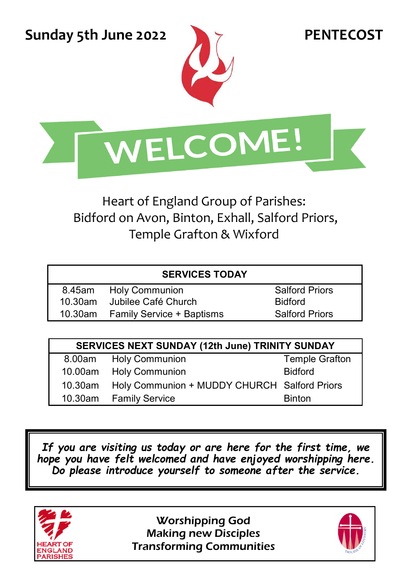**Sunday 5th June 2022 PENTECOST** 





Heart of England Group of Parishes: Bidford on Avon, Binton, Exhall, Salford Priors, Temple Grafton & Wixford

| 8.45am | <b>Holy Communion</b>             | Salford        |
|--------|-----------------------------------|----------------|
|        | 10.30am Jubilee Café Church       | <b>Bidford</b> |
|        | 10.30am Family Service + Baptisms | Salford        |

Salford Priors Salford Priors

| SERVICES NEXT SUNDAY (12th June) TRINITY SUNDAY |                                              |                |  |  |
|-------------------------------------------------|----------------------------------------------|----------------|--|--|
|                                                 | 8.00am Holy Communion                        | Temple Grafton |  |  |
|                                                 | 10.00am Holy Communion                       | <b>Bidford</b> |  |  |
| 10.30am                                         | Holy Communion + MUDDY CHURCH Salford Priors |                |  |  |
|                                                 | 10.30am Family Service                       | <b>Binton</b>  |  |  |

*If you are visiting us today or are here for the first time, we hope you have felt welcomed and have enjoyed worshipping here. Do please introduce yourself to someone after the service.* 



Worshipping God Making new Disciples Transforming Communities

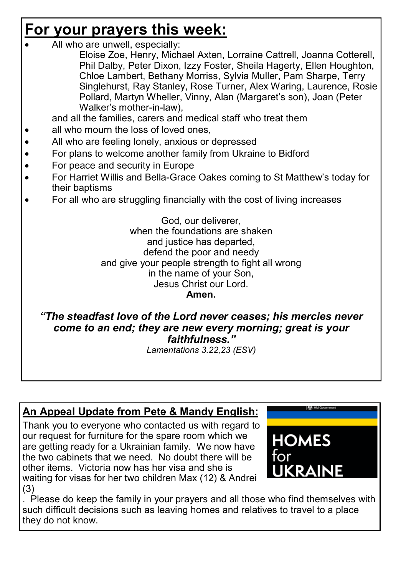# **For your prayers this week:**

- All who are unwell, especially:
	- Eloise Zoe, Henry, Michael Axten, Lorraine Cattrell, Joanna Cotterell, Phil Dalby, Peter Dixon, Izzy Foster, Sheila Hagerty, Ellen Houghton, Chloe Lambert, Bethany Morriss, Sylvia Muller, Pam Sharpe, Terry Singlehurst, Ray Stanley, Rose Turner, Alex Waring, Laurence, Rosie Pollard, Martyn Wheller, Vinny, Alan (Margaret's son), Joan (Peter Walker's mother-in-law),

and all the families, carers and medical staff who treat them

- all who mourn the loss of loved ones,
- All who are feeling lonely, anxious or depressed
- For plans to welcome another family from Ukraine to Bidford
- For peace and security in Europe
- For Harriet Willis and Bella-Grace Oakes coming to St Matthew's today for their baptisms
- For all who are struggling financially with the cost of living increases

God, our deliverer, when the foundations are shaken and justice has departed. defend the poor and needy and give your people strength to fight all wrong in the name of your Son, Jesus Christ our Lord. **Amen.** 

*"The steadfast love of the Lord never ceases; his mercies never come to an end; they are new every morning; great is your faithfulness."* 

*Lamentations 3.22,23 (ESV)* 

## **An Appeal Update from Pete & Mandy English:**

Thank you to everyone who contacted us with regard to our request for furniture for the spare room which we are getting ready for a Ukrainian family. We now have the two cabinets that we need. No doubt there will be other items. Victoria now has her visa and she is waiting for visas for her two children Max (12) & Andrei (3)



. Please do keep the family in your prayers and all those who find themselves with such difficult decisions such as leaving homes and relatives to travel to a place they do not know.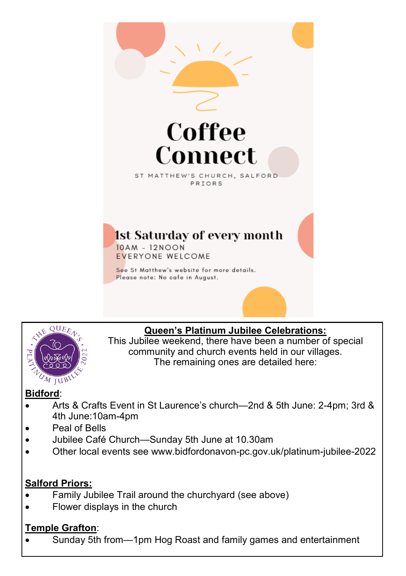



#### **Queen's Platinum Jubilee Celebrations:**

This Jubilee weekend, there have been a number of special community and church events held in our villages. The remaining ones are detailed here:

#### **Bidford**:

- Arts & Crafts Event in St Laurence's church—2nd & 5th June: 2-4pm; 3rd & 4th June:10am-4pm
- Peal of Bells
- Jubilee Café Church—Sunday 5th June at 10.30am
- Other local events see www.bidfordonavon-pc.gov.uk/platinum-jubilee-2022

#### **Salford Priors:**

- Family Jubilee Trail around the churchyard (see above)
- Flower displays in the church

### **Temple Grafton**:

Sunday 5th from—1pm Hog Roast and family games and entertainment